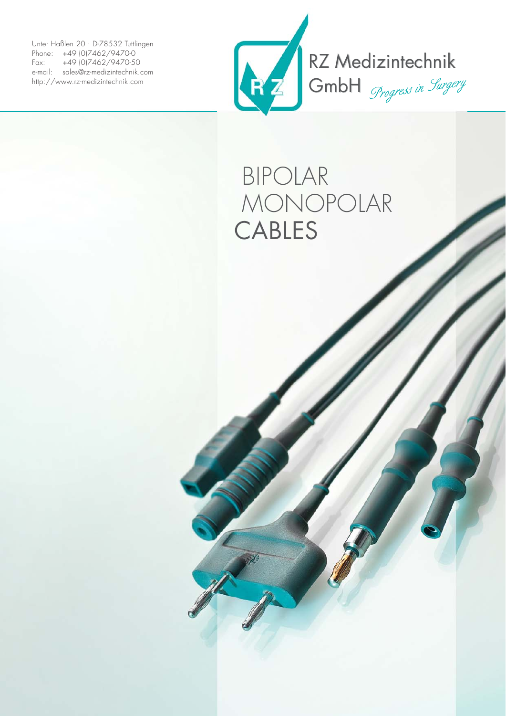Unter Haßlen 20 · D-78532 Tuttlingen Phone: +49 (0)7462/9470-0 Fax: +49 (0)7462/9470-50 e-mail: sales@rz-medizintechnik.com http://www.rz-medizintechnik.com



## BIPOLAR MONOPOLAR CABLES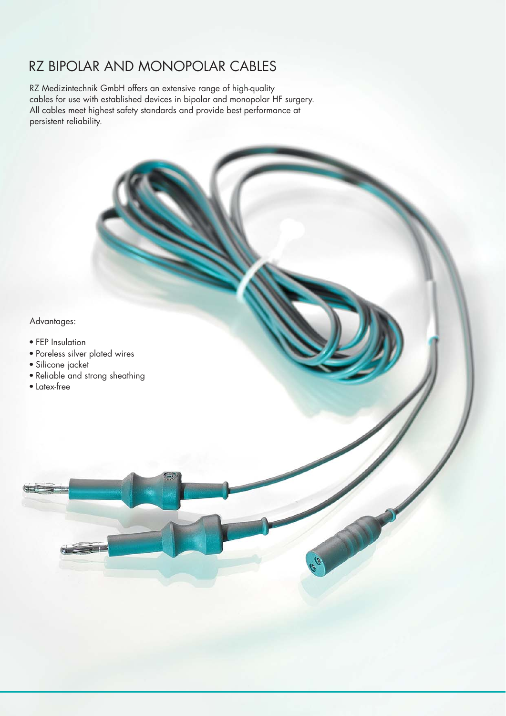## RZ BIPOLAR AND MONOPOLAR CABLES

RZ Medizintechnik GmbH offers an extensive range of high-quality cables for use with established devices in bipolar and monopolar HF surgery. All cables meet highest safety standards and provide best performance at persistent reliability.

Advantages:

- FEP Insulation
- Poreless silver plated wires
- Silicone jacket
- Reliable and strong sheathing
- Latex-free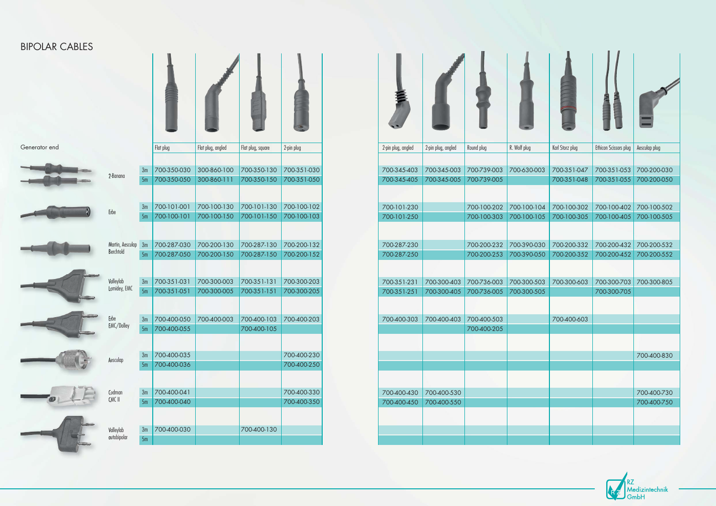| Generator end |                           |          | Flat plug                  | Flat plug, angled          | Flat plug, square          | 2-pin plug                 |
|---------------|---------------------------|----------|----------------------------|----------------------------|----------------------------|----------------------------|
|               | 2-Banana                  | 3m<br>5m | 700-350-030<br>700-350-050 | 300-860-100<br>300-860-111 | 700-350-130<br>700-350-150 | 700-351-030<br>700-351-050 |
|               | Erbe                      | 3m<br>5m | 700-101-001<br>700-100-101 | 700-100-130<br>700-100-150 | 700-101-130<br>700-101-150 | 700-100-102<br>700-100-103 |
|               |                           |          |                            |                            |                            |                            |
|               | Martin, Aesculap          | 3m       | 700-287-030                | 700-200-130                | 700-287-130                | 700-200-132                |
|               | Berchtold                 | 5m       | 700-287-050                | 700-200-150                | 700-287-150                | 700-200-152                |
|               | Valleylab<br>Lamidey, EMC | 3m<br>5m | 700-351-031<br>700-351-051 | 700-300-003<br>700-300-005 | 700-351-131<br>700-351-151 | 700-300-203<br>700-300-205 |
|               | Erbe                      | 3m       | 700-400-050                | 700-400-003                | 700-400-103                | 700-400-203                |
|               | EMC/Dolley                | 5m       | 700-400-055                |                            | 700-400-105                |                            |
|               |                           | 3m       | 700-400-035                |                            |                            | 700-400-230                |
|               | Aesculap                  | 5m       | 700-400-036                |                            |                            | 700-400-250                |
|               |                           |          |                            |                            |                            |                            |
|               | Codman                    | 3m       | 700-400-041                |                            |                            | 700-400-330                |
|               | CMC II<br>5m              |          | 700-400-040                |                            |                            | 700-400-350                |
|               | Valleylab                 | 3m       | 700-400-030                |                            | 700-400-130                |                            |
|               | autobipolar               | 5m       |                            |                            |                            |                            |

|                            | Flat plug, angled | Flat plug, square                               | 2-pin plug                 |
|----------------------------|-------------------|-------------------------------------------------|----------------------------|
|                            |                   |                                                 |                            |
| 700-350-030                | 300-860-100       | 700-350-130                                     | 700-351-030                |
| 700-350-050                | 300-860-111       | 700-350-150                                     | 700-351-050                |
|                            |                   |                                                 |                            |
| 700-101-001                | 700-100-130       | 700-101-130                                     | 700-100-102                |
| 700-100-101                | 700-100-150       | 700-101-150                                     | 700-100-103                |
|                            |                   |                                                 |                            |
| 700-287-030                | 700-200-130       | 700-287-130                                     | 700-200-132                |
| 700-287-050                | 700-200-150       | 700-287-150                                     | 700-200-152                |
|                            | 700-300-003       | 700-351-131                                     |                            |
| 700-351-031<br>700-351-051 | 700-300-005       | 700-351-151                                     | 700-300-203<br>700-300-205 |
|                            |                   |                                                 |                            |
|                            |                   | 700-400-050 700-400-003 700-400-103 700-400-203 |                            |
| 700-400-055                |                   | 700-400-105                                     |                            |
|                            |                   |                                                 |                            |
| 700-400-035                |                   |                                                 | 700-400-230                |
| 700-400-036                |                   |                                                 | 700-400-250                |
|                            |                   |                                                 |                            |
| 700-400-041                |                   |                                                 | 700-400-330                |
| 700-400-040                |                   |                                                 | 700-400-350                |
|                            |                   |                                                 |                            |
| 700-400-030                |                   | 700-400-130                                     |                            |
|                            |                   |                                                 |                            |



## BIPOLAR CABLES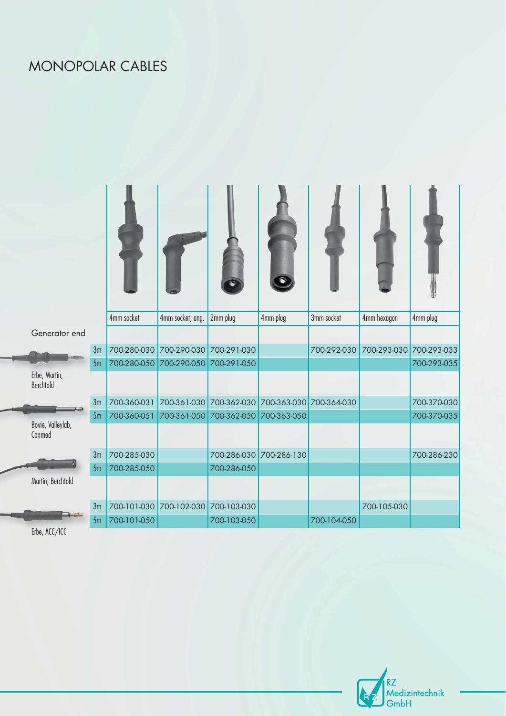## MONOPOLAR CABLES

|                             |                | 4mm socket              | 4mm socket, ang.        | 2mm plug                                        | 4mm plug    | 3mm socket  | 4mm hexagon | 4mm plug    |
|-----------------------------|----------------|-------------------------|-------------------------|-------------------------------------------------|-------------|-------------|-------------|-------------|
| Generator end               |                |                         |                         |                                                 |             |             |             |             |
|                             | 3m             | 700-280-030             | 700-290-030             | 700-291-030                                     |             | 700-292-030 | 700-293-030 | 700-293-033 |
|                             | 5 <sub>m</sub> | 700-280-050             | 700-290-050             | 700-291-050                                     |             |             |             | 700-293-035 |
| Erbe, Martin,<br>Berchtold  |                |                         |                         |                                                 |             |             |             |             |
|                             | 3m             | 700-360-031             |                         | 700-361-030 700-362-030 700-363-030 700-364-030 |             |             |             | 700-370-030 |
|                             | 5m             | 700-360-051             | 700-361-050 700-362-050 |                                                 | 700-363-050 |             |             | 700-370-035 |
| Bovie, Valleylab,<br>Conmed |                |                         |                         |                                                 |             |             |             |             |
|                             | 3m             | 700-285-030             |                         | 700-286-030                                     | 700-286-130 |             |             | 700-286-230 |
|                             | 5m             | 700-285-050             |                         | 700-286-050                                     |             |             |             |             |
| Martin, Berchtold           |                |                         |                         |                                                 |             |             |             |             |
|                             | 3m             | 700-101-030 700-102-030 |                         | 700-103-030                                     |             |             | 700-105-030 |             |
|                             | 5m             | 700-101-050             |                         | 700-103-050                                     |             | 700-104-050 |             |             |

Erbe, ACC/ICC